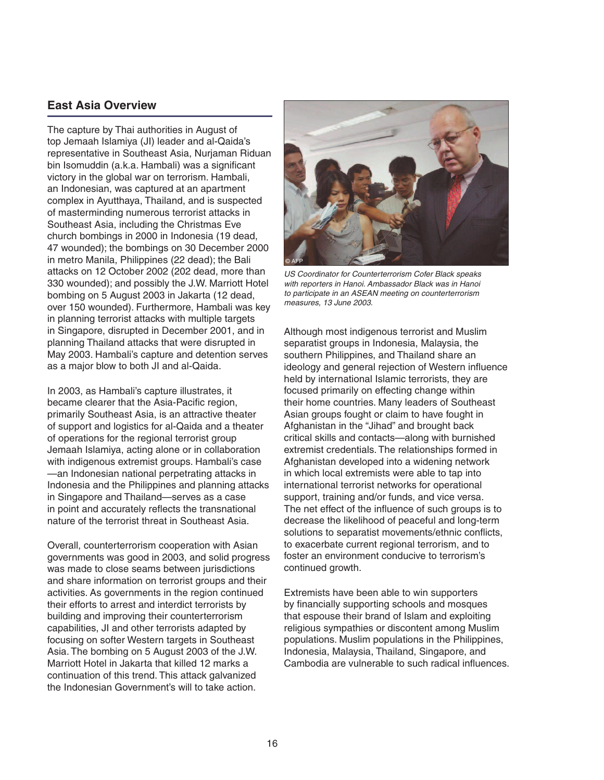# **East Asia Overview**

The capture by Thai authorities in August of top Jemaah Islamiya (JI) leader and al-Qaida's representative in Southeast Asia, Nurjaman Riduan bin Isomuddin (a.k.a. Hambali) was a significant victory in the global war on terrorism. Hambali, an Indonesian, was captured at an apartment complex in Ayutthaya, Thailand, and is suspected of masterminding numerous terrorist attacks in Southeast Asia, including the Christmas Eve church bombings in 2000 in Indonesia (19 dead, 47 wounded); the bombings on 30 December 2000 in metro Manila, Philippines (22 dead); the Bali attacks on 12 October 2002 (202 dead, more than 330 wounded); and possibly the J.W. Marriott Hotel bombing on 5 August 2003 in Jakarta (12 dead, over 150 wounded). Furthermore, Hambali was key in planning terrorist attacks with multiple targets in Singapore, disrupted in December 2001, and in planning Thailand attacks that were disrupted in May 2003. Hambali's capture and detention serves as a major blow to both JI and al-Qaida.

In 2003, as Hambali's capture illustrates, it became clearer that the Asia-Pacific region, primarily Southeast Asia, is an attractive theater of support and logistics for al-Qaida and a theater of operations for the regional terrorist group Jemaah Islamiya, acting alone or in collaboration with indigenous extremist groups. Hambali's case — an Indonesian national perpetrating attacks in Indonesia and the Philippines and planning attacks in Singapore and Thailand—serves as a case in point and accurately reflects the transnational nature of the terrorist threat in Southeast Asia.

Overall, counterterrorism cooperation with Asian governments was good in 2003, and solid progress was made to close seams between jurisdictions and share information on terrorist groups and their activities. As governments in the region continued their efforts to arrest and interdict terrorists by building and improving their counterterrorism capabilities, JI and other terrorists adapted by focusing on softer Western targets in Southeast Asia. The bombing on 5 August 2003 of the J.W. Marriott Hotel in Jakarta that killed 12 marks a continuation of this trend. This attack galvanized the Indonesian Government's will to take action.



US Coordinator for Counterterrorism Cofer Black speaks with reporters in Hanoi. Ambassador Black was in Hanoi to participate in an ASEAN meeting on counterterrorism measures, 13 June 2003.

Although most indigenous terrorist and Muslim separatist groups in Indonesia, Malaysia, the southern Philippines, and Thailand share an ideology and general rejection of Western influence held by international Islamic terrorists, they are focused primarily on effecting change within their home countries. Many leaders of Southeast Asian groups fought or claim to have fought in Afghanistan in the "Jihad" and brought back critical skills and contacts—along with burnished extremist credentials. The relationships formed in Afghanistan developed into a widening network in which local extremists were able to tap into international terrorist networks for operational support, training and/or funds, and vice versa. The net effect of the influence of such groups is to decrease the likelihood of peaceful and long-term solutions to separatist movements/ethnic conflicts, to exacerbate current regional terrorism, and to foster an environment conducive to terrorism's continued growth.

Extremists have been able to win supporters by financially supporting schools and mosques that espouse their brand of Islam and exploiting religious sympathies or discontent among Muslim populations. Muslim populations in the Philippines, Indonesia, Malaysia, Thailand, Singapore, and Cambodia are vulnerable to such radical influences.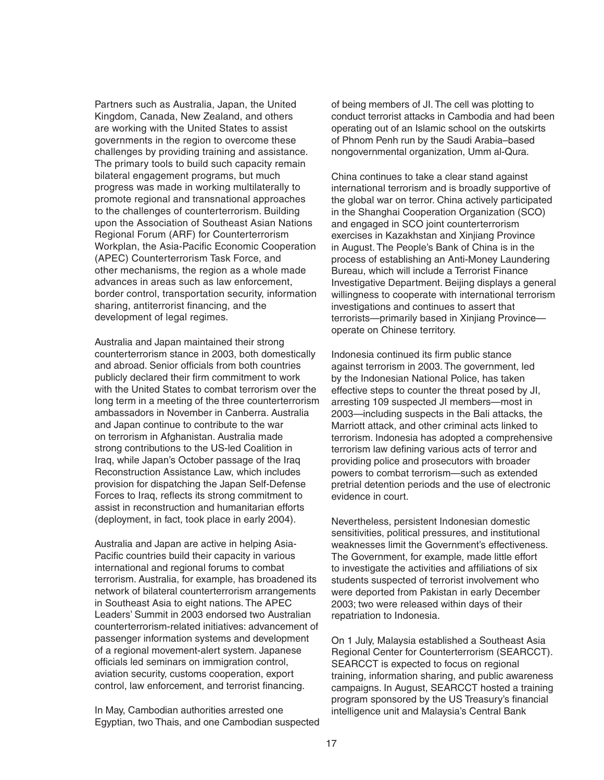Partners such as Australia, Japan, the United Kingdom, Canada, New Zealand, and others are working with the United States to assist governments in the region to overcome these challenges by providing training and assistance. The primary tools to build such capacity remain bilateral engagement programs, but much progress was made in working multilaterally to promote regional and transnational approaches to the challenges of counterterrorism. Building upon the Association of Southeast Asian Nations Regional Forum (ARF) for Counterterrorism Workplan, the Asia-Pacific Economic Cooperation (APEC) Counterterrorism Task Force, and other mechanisms, the region as a whole made advances in areas such as law enforcement, border control, transportation security, information sharing, antiterrorist financing, and the development of legal regimes.

Australia and Japan maintained their strong counterterrorism stance in 2003, both domestically and abroad. Senior officials from both countries publicly declared their firm commitment to work with the United States to combat terrorism over the long term in a meeting of the three counterterrorism ambassadors in November in Canberra. Australia and Japan continue to contribute to the war on terrorism in Afghanistan. Australia made strong contributions to the US-led Coalition in Iraq, while Japan's October passage of the Iraq Reconstruction Assistance Law, which includes provision for dispatching the Japan Self-Defense Forces to Iraq, reflects its strong commitment to assist in reconstruction and humanitarian efforts (deployment, in fact, took place in early 2004).

Australia and Japan are active in helping Asia-Pacific countries build their capacity in various international and regional forums to combat terrorism. Australia, for example, has broadened its network of bilateral counterterrorism arrangements in Southeast Asia to eight nations. The APEC Leaders' Summit in 2003 endorsed two Australian counterterrorism-related initiatives: advancement of passenger information systems and development of a regional movement-alert system. Japanese officials led seminars on immigration control, aviation security, customs cooperation, export control, law enforcement, and terrorist financing.

In May, Cambodian authorities arrested one Egyptian, two Thais, and one Cambodian suspected

of being members of JI. The cell was plotting to conduct terrorist attacks in Cambodia and had been operating out of an Islamic school on the outskirts of Phnom Penh run by the Saudi Arabia–based nongovernmental organization, Umm al-Qura.

China continues to take a clear stand against international terrorism and is broadly supportive of the global war on terror. China actively participated in the Shanghai Cooperation Organization (SCO) and engaged in SCO joint counterterrorism exercises in Kazakhstan and Xinjiang Province in August. The People's Bank of China is in the process of establishing an Anti-Money Laundering Bureau, which will include a Terrorist Finance Investigative Department. Beijing displays a general willingness to cooperate with international terrorism investigations and continues to assert that terrorists—primarily based in Xinjiang Province operate on Chinese territory.

Indonesia continued its firm public stance against terrorism in 2003. The government, led by the Indonesian National Police, has taken effective steps to counter the threat posed by JI, arresting 109 suspected JI members—most in 2003—including suspects in the Bali attacks, the Marriott attack, and other criminal acts linked to terrorism. Indonesia has adopted a comprehensive terrorism law defining various acts of terror and providing police and prosecutors with broader powers to combat terrorism—such as extended pretrial detention periods and the use of electronic evidence in court.

Nevertheless, persistent Indonesian domestic sensitivities, political pressures, and institutional weaknesses limit the Government's effectiveness. The Government, for example, made little effort to investigate the activities and affiliations of six students suspected of terrorist involvement who were deported from Pakistan in early December 2003; two were released within days of their repatriation to Indonesia.

On 1 July, Malaysia established a Southeast Asia Regional Center for Counterterrorism (SEARCCT). SEARCCT is expected to focus on regional training, information sharing, and public awareness campaigns. In August, SEARCCT hosted a training program sponsored by the US Treasury's financial intelligence unit and Malaysia's Central Bank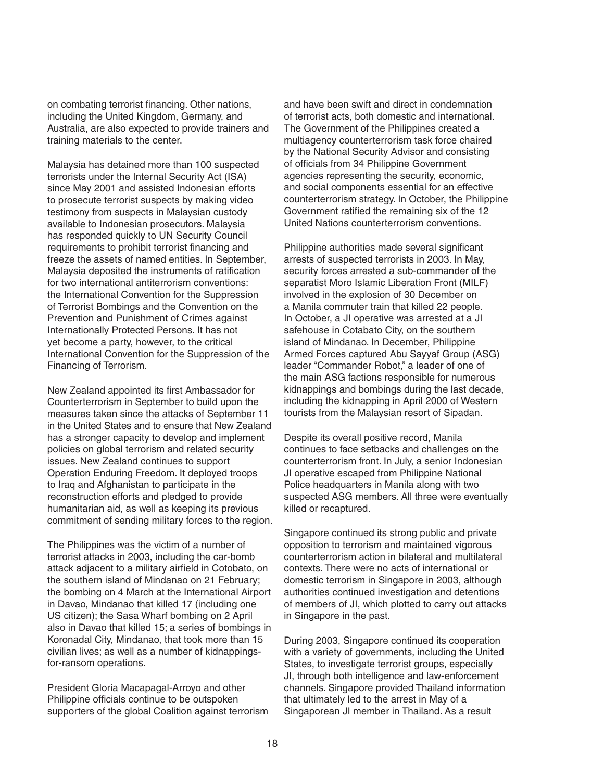on combating terrorist financing. Other nations, including the United Kingdom, Germany, and Australia, are also expected to provide trainers and training materials to the center.

Malaysia has detained more than 100 suspected terrorists under the Internal Security Act (ISA) since May 2001 and assisted Indonesian efforts to prosecute terrorist suspects by making video testimony from suspects in Malaysian custody available to Indonesian prosecutors. Malaysia has responded quickly to UN Security Council requirements to prohibit terrorist financing and freeze the assets of named entities. In September, Malaysia deposited the instruments of ratification for two international antiterrorism conventions: the International Convention for the Suppression of Terrorist Bombings and the Convention on the Prevention and Punishment of Crimes against Internationally Protected Persons. It has not yet become a party, however, to the critical International Convention for the Suppression of the Financing of Terrorism.

New Zealand appointed its first Ambassador for Counterterrorism in September to build upon the measures taken since the attacks of September 11 in the United States and to ensure that New Zealand has a stronger capacity to develop and implement policies on global terrorism and related security issues. New Zealand continues to support Operation Enduring Freedom. It deployed troops to Iraq and Afghanistan to participate in the reconstruction efforts and pledged to provide humanitarian aid, as well as keeping its previous commitment of sending military forces to the region.

The Philippines was the victim of a number of terrorist attacks in 2003, including the car-bomb attack adjacent to a military airfield in Cotobato, on the southern island of Mindanao on 21 February; the bombing on 4 March at the International Airport in Davao, Mindanao that killed 17 (including one US citizen); the Sasa Wharf bombing on 2 April also in Davao that killed 15; a series of bombings in Koronadal City, Mindanao, that took more than 15 civilian lives; as well as a number of kidnappingsfor-ransom operations.

President Gloria Macapagal-Arroyo and other Philippine officials continue to be outspoken supporters of the global Coalition against terrorism and have been swift and direct in condemnation of terrorist acts, both domestic and international. The Government of the Philippines created a multiagency counterterrorism task force chaired by the National Security Advisor and consisting of officials from 34 Philippine Government agencies representing the security, economic, and social components essential for an effective counterterrorism strategy. In October, the Philippine Government ratified the remaining six of the 12 United Nations counterterrorism conventions.

Philippine authorities made several significant arrests of suspected terrorists in 2003. In May, security forces arrested a sub-commander of the separatist Moro Islamic Liberation Front (MILF) involved in the explosion of 30 December on a Manila commuter train that killed 22 people. In October, a JI operative was arrested at a JI safehouse in Cotabato City, on the southern island of Mindanao. In December, Philippine Armed Forces captured Abu Sayyaf Group (ASG) leader "Commander Robot," a leader of one of the main ASG factions responsible for numerous kidnappings and bombings during the last decade, including the kidnapping in April 2000 of Western tourists from the Malaysian resort of Sipadan.

Despite its overall positive record, Manila continues to face setbacks and challenges on the counterterrorism front. In July, a senior Indonesian JI operative escaped from Philippine National Police headquarters in Manila along with two suspected ASG members. All three were eventually killed or recaptured.

Singapore continued its strong public and private opposition to terrorism and maintained vigorous counterterrorism action in bilateral and multilateral contexts. There were no acts of international or domestic terrorism in Singapore in 2003, although authorities continued investigation and detentions of members of JI, which plotted to carry out attacks in Singapore in the past.

During 2003, Singapore continued its cooperation with a variety of governments, including the United States, to investigate terrorist groups, especially JI, through both intelligence and law-enforcement channels. Singapore provided Thailand information that ultimately led to the arrest in May of a Singaporean JI member in Thailand. As a result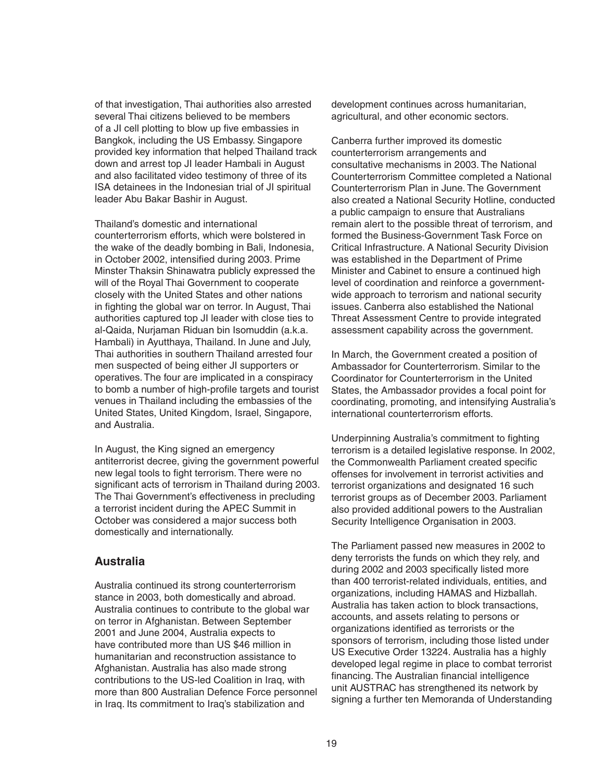of that investigation, Thai authorities also arrested several Thai citizens believed to be members of a JI cell plotting to blow up five embassies in Bangkok, including the US Embassy. Singapore provided key information that helped Thailand track down and arrest top JI leader Hambali in August and also facilitated video testimony of three of its ISA detainees in the Indonesian trial of JI spiritual leader Abu Bakar Bashir in August.

Thailand's domestic and international counterterrorism efforts, which were bolstered in the wake of the deadly bombing in Bali, Indonesia, in October 2002, intensified during 2003. Prime Minster Thaksin Shinawatra publicly expressed the will of the Royal Thai Government to cooperate closely with the United States and other nations in fighting the global war on terror. In August, Thai authorities captured top JI leader with close ties to al-Qaida, Nurjaman Riduan bin Isomuddin (a.k.a. Hambali) in Ayutthaya, Thailand. In June and July, Thai authorities in southern Thailand arrested four men suspected of being either JI supporters or operatives. The four are implicated in a conspiracy to bomb a number of high-profile targets and tourist venues in Thailand including the embassies of the United States, United Kingdom, Israel, Singapore, and Australia.

In August, the King signed an emergency antiterrorist decree, giving the government powerful new legal tools to fight terrorism. There were no significant acts of terrorism in Thailand during 2003. The Thai Government's effectiveness in precluding a terrorist incident during the APEC Summit in October was considered a major success both domestically and internationally.

#### **Australia**

Australia continued its strong counterterrorism stance in 2003, both domestically and abroad. Australia continues to contribute to the global war on terror in Afghanistan. Between September 2001 and June 2004, Australia expects to have contributed more than US \$46 million in humanitarian and reconstruction assistance to Afghanistan. Australia has also made strong contributions to the US-led Coalition in Iraq, with more than 800 Australian Defence Force personnel in Iraq. Its commitment to Iraq's stabilization and

development continues across humanitarian, agricultural, and other economic sectors.

Canberra further improved its domestic counterterrorism arrangements and consultative mechanisms in 2003. The National Counterterrorism Committee completed a National Counterterrorism Plan in June. The Government also created a National Security Hotline, conducted a public campaign to ensure that Australians remain alert to the possible threat of terrorism, and formed the Business-Government Task Force on Critical Infrastructure. A National Security Division was established in the Department of Prime Minister and Cabinet to ensure a continued high level of coordination and reinforce a governmentwide approach to terrorism and national security issues. Canberra also established the National Threat Assessment Centre to provide integrated assessment capability across the government.

In March, the Government created a position of Ambassador for Counterterrorism. Similar to the Coordinator for Counterterrorism in the United States, the Ambassador provides a focal point for coordinating, promoting, and intensifying Australia's international counterterrorism efforts.

Underpinning Australia's commitment to fighting terrorism is a detailed legislative response. In 2002, the Commonwealth Parliament created specific offenses for involvement in terrorist activities and terrorist organizations and designated 16 such terrorist groups as of December 2003. Parliament also provided additional powers to the Australian Security Intelligence Organisation in 2003.

The Parliament passed new measures in 2002 to deny terrorists the funds on which they rely, and during 2002 and 2003 specifically listed more than 400 terrorist-related individuals, entities, and organizations, including HAMAS and Hizballah. Australia has taken action to block transactions, accounts, and assets relating to persons or organizations identified as terrorists or the sponsors of terrorism, including those listed under US Executive Order 13224. Australia has a highly developed legal regime in place to combat terrorist financing. The Australian financial intelligence unit AUSTRAC has strengthened its network by signing a further ten Memoranda of Understanding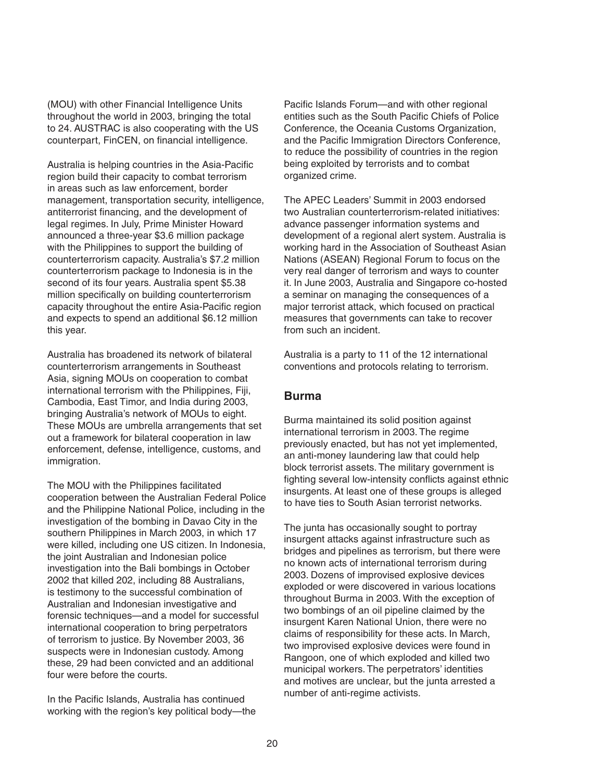(MOU) with other Financial Intelligence Units throughout the world in 2003, bringing the total to 24. AUSTRAC is also cooperating with the US counterpart, FinCEN, on financial intelligence.

Australia is helping countries in the Asia-Pacific region build their capacity to combat terrorism in areas such as law enforcement, border management, transportation security, intelligence, antiterrorist financing, and the development of legal regimes. In July, Prime Minister Howard announced a three-year \$3.6 million package with the Philippines to support the building of counterterrorism capacity. Australia's \$7.2 million counterterrorism package to Indonesia is in the second of its four years. Australia spent \$5.38 million specifically on building counterterrorism capacity throughout the entire Asia-Pacific region and expects to spend an additional \$6.12 million this year.

Australia has broadened its network of bilateral counterterrorism arrangements in Southeast Asia, signing MOUs on cooperation to combat international terrorism with the Philippines, Fiji, Cambodia, East Timor, and India during 2003, bringing Australia's network of MOUs to eight. These MOUs are umbrella arrangements that set out a framework for bilateral cooperation in law enforcement, defense, intelligence, customs, and immigration.

The MOU with the Philippines facilitated cooperation between the Australian Federal Police and the Philippine National Police, including in the investigation of the bombing in Davao City in the southern Philippines in March 2003, in which 17 were killed, including one US citizen. In Indonesia, the joint Australian and Indonesian police investigation into the Bali bombings in October 2002 that killed 202, including 88 Australians, is testimony to the successful combination of Australian and Indonesian investigative and forensic techniques—and a model for successful international cooperation to bring perpetrators of terrorism to justice. By November 2003, 36 suspects were in Indonesian custody. Among these, 29 had been convicted and an additional four were before the courts.

In the Pacific Islands, Australia has continued working with the region's key political body—the Pacific Islands Forum—and with other regional entities such as the South Pacific Chiefs of Police Conference, the Oceania Customs Organization, and the Pacific Immigration Directors Conference, to reduce the possibility of countries in the region being exploited by terrorists and to combat organized crime.

The APEC Leaders' Summit in 2003 endorsed two Australian counterterrorism-related initiatives: advance passenger information systems and development of a regional alert system. Australia is working hard in the Association of Southeast Asian Nations (ASEAN) Regional Forum to focus on the very real danger of terrorism and ways to counter it. In June 2003, Australia and Singapore co-hosted a seminar on managing the consequences of a major terrorist attack, which focused on practical measures that governments can take to recover from such an incident.

Australia is a party to 11 of the 12 international conventions and protocols relating to terrorism.

## **Burma**

Burma maintained its solid position against international terrorism in 2003. The regime previously enacted, but has not yet implemented, an anti-money laundering law that could help block terrorist assets. The military government is fighting several low-intensity conflicts against ethnic insurgents. At least one of these groups is alleged to have ties to South Asian terrorist networks.

The junta has occasionally sought to portray insurgent attacks against infrastructure such as bridges and pipelines as terrorism, but there were no known acts of international terrorism during 2003. Dozens of improvised explosive devices exploded or were discovered in various locations throughout Burma in 2003. With the exception of two bombings of an oil pipeline claimed by the insurgent Karen National Union, there were no claims of responsibility for these acts. In March, two improvised explosive devices were found in Rangoon, one of which exploded and killed two municipal workers. The perpetrators' identities and motives are unclear, but the junta arrested a number of anti-regime activists.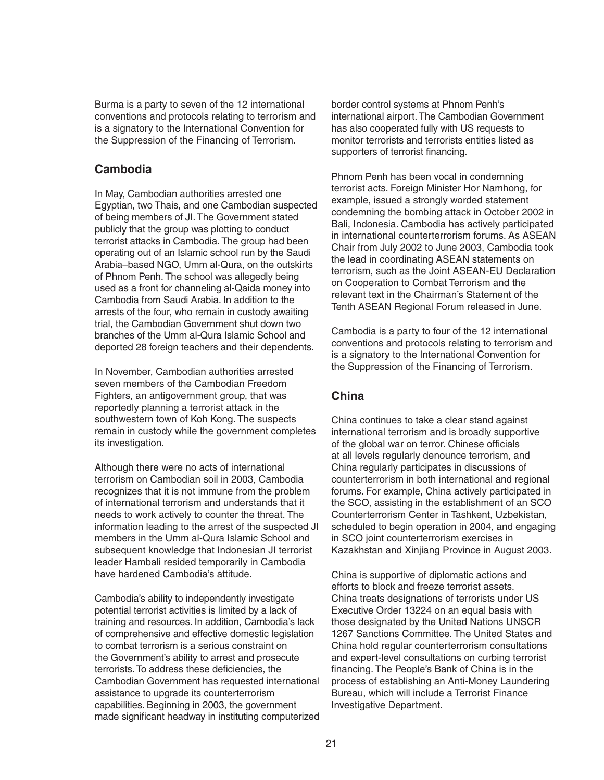Burma is a party to seven of the 12 international conventions and protocols relating to terrorism and is a signatory to the International Convention for the Suppression of the Financing of Terrorism.

## **Cambodia**

In May, Cambodian authorities arrested one Egyptian, two Thais, and one Cambodian suspected of being members of JI. The Government stated publicly that the group was plotting to conduct terrorist attacks in Cambodia. The group had been operating out of an Islamic school run by the Saudi Arabia–based NGO, Umm al-Qura, on the outskirts of Phnom Penh. The school was allegedly being used as a front for channeling al-Qaida money into Cambodia from Saudi Arabia. In addition to the arrests of the four, who remain in custody awaiting trial, the Cambodian Government shut down two branches of the Umm al-Qura Islamic School and deported 28 foreign teachers and their dependents.

In November, Cambodian authorities arrested seven members of the Cambodian Freedom Fighters, an antigovernment group, that was reportedly planning a terrorist attack in the southwestern town of Koh Kong. The suspects remain in custody while the government completes its investigation.

Although there were no acts of international terrorism on Cambodian soil in 2003, Cambodia recognizes that it is not immune from the problem of international terrorism and understands that it needs to work actively to counter the threat. The information leading to the arrest of the suspected JI members in the Umm al-Qura Islamic School and subsequent knowledge that Indonesian JI terrorist leader Hambali resided temporarily in Cambodia have hardened Cambodia's attitude.

Cambodia's ability to independently investigate potential terrorist activities is limited by a lack of training and resources. In addition, Cambodia's lack of comprehensive and effective domestic legislation to combat terrorism is a serious constraint on the Government's ability to arrest and prosecute terrorists. To address these deficiencies, the Cambodian Government has requested international assistance to upgrade its counterterrorism capabilities. Beginning in 2003, the government made significant headway in instituting computerized

border control systems at Phnom Penh's international airport. The Cambodian Government has also cooperated fully with US requests to monitor terrorists and terrorists entities listed as supporters of terrorist financing.

Phnom Penh has been vocal in condemning terrorist acts. Foreign Minister Hor Namhong, for example, issued a strongly worded statement condemning the bombing attack in October 2002 in Bali, Indonesia. Cambodia has actively participated in international counterterrorism forums. As ASEAN Chair from July 2002 to June 2003, Cambodia took the lead in coordinating ASEAN statements on terrorism, such as the Joint ASEAN-EU Declaration on Cooperation to Combat Terrorism and the relevant text in the Chairman's Statement of the Tenth ASEAN Regional Forum released in June.

Cambodia is a party to four of the 12 international conventions and protocols relating to terrorism and is a signatory to the International Convention for the Suppression of the Financing of Terrorism.

# **China**

China continues to take a clear stand against international terrorism and is broadly supportive of the global war on terror. Chinese officials at all levels regularly denounce terrorism, and China regularly participates in discussions of counterterrorism in both international and regional forums. For example, China actively participated in the SCO, assisting in the establishment of an SCO Counterterrorism Center in Tashkent, Uzbekistan, scheduled to begin operation in 2004, and engaging in SCO joint counterterrorism exercises in Kazakhstan and Xinjiang Province in August 2003.

China is supportive of diplomatic actions and efforts to block and freeze terrorist assets. China treats designations of terrorists under US Executive Order 13224 on an equal basis with those designated by the United Nations UNSCR 1267 Sanctions Committee. The United States and China hold regular counterterrorism consultations and expert-level consultations on curbing terrorist financing. The People's Bank of China is in the process of establishing an Anti-Money Laundering Bureau, which will include a Terrorist Finance Investigative Department.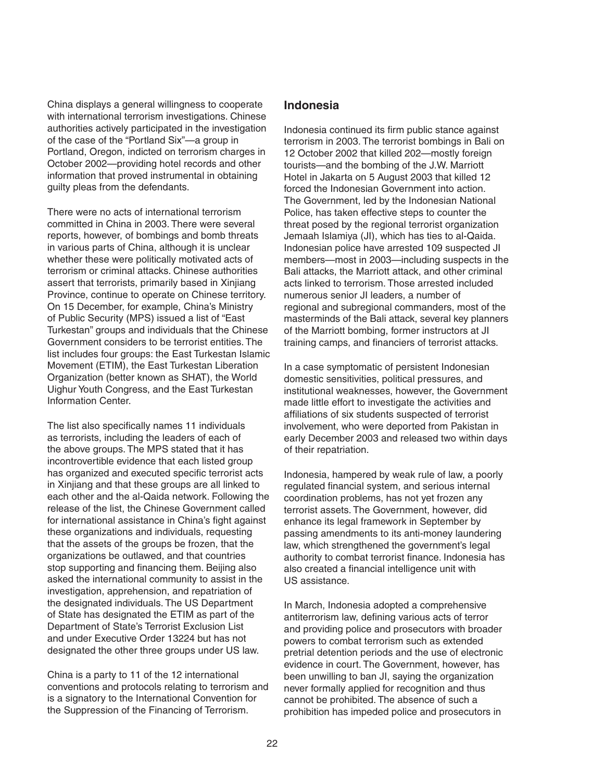China displays a general willingness to cooperate with international terrorism investigations. Chinese authorities actively participated in the investigation of the case of the "Portland Six"—a group in Portland, Oregon, indicted on terrorism charges in October 2002—providing hotel records and other information that proved instrumental in obtaining guilty pleas from the defendants.

There were no acts of international terrorism committed in China in 2003. There were several reports, however, of bombings and bomb threats in various parts of China, although it is unclear whether these were politically motivated acts of terrorism or criminal attacks. Chinese authorities assert that terrorists, primarily based in Xinjiang Province, continue to operate on Chinese territory. On 15 December, for example, China's Ministry of Public Security (MPS) issued a list of "East Turkestan" groups and individuals that the Chinese Government considers to be terrorist entities. The list includes four groups: the East Turkestan Islamic Movement (ETIM), the East Turkestan Liberation Organization (better known as SHAT), the World Uighur Youth Congress, and the East Turkestan Information Center.

The list also specifically names 11 individuals as terrorists, including the leaders of each of the above groups. The MPS stated that it has incontrovertible evidence that each listed group has organized and executed specific terrorist acts in Xinjiang and that these groups are all linked to each other and the al-Qaida network. Following the release of the list, the Chinese Government called for international assistance in China's fight against these organizations and individuals, requesting that the assets of the groups be frozen, that the organizations be outlawed, and that countries stop supporting and financing them. Beijing also asked the international community to assist in the investigation, apprehension, and repatriation of the designated individuals. The US Department of State has designated the ETIM as part of the Department of State's Terrorist Exclusion List and under Executive Order 13224 but has not designated the other three groups under US law.

China is a party to 11 of the 12 international conventions and protocols relating to terrorism and is a signatory to the International Convention for the Suppression of the Financing of Terrorism.

### **Indonesia**

Indonesia continued its firm public stance against terrorism in 2003. The terrorist bombings in Bali on 12 October 2002 that killed 202—mostly foreign tourists—and the bombing of the J.W. Marriott Hotel in Jakarta on 5 August 2003 that killed 12 forced the Indonesian Government into action. The Government, led by the Indonesian National Police, has taken effective steps to counter the threat posed by the regional terrorist organization Jemaah Islamiya (JI), which has ties to al-Qaida. Indonesian police have arrested 109 suspected JI members—most in 2003—including suspects in the Bali attacks, the Marriott attack, and other criminal acts linked to terrorism. Those arrested included numerous senior JI leaders, a number of regional and subregional commanders, most of the masterminds of the Bali attack, several key planners of the Marriott bombing, former instructors at JI training camps, and financiers of terrorist attacks.

In a case symptomatic of persistent Indonesian domestic sensitivities, political pressures, and institutional weaknesses, however, the Government made little effort to investigate the activities and affiliations of six students suspected of terrorist involvement, who were deported from Pakistan in early December 2003 and released two within days of their repatriation.

Indonesia, hampered by weak rule of law, a poorly regulated financial system, and serious internal coordination problems, has not yet frozen any terrorist assets. The Government, however, did enhance its legal framework in September by passing amendments to its anti-money laundering law, which strengthened the government's legal authority to combat terrorist finance. Indonesia has also created a financial intelligence unit with US assistance.

In March, Indonesia adopted a comprehensive antiterrorism law, defining various acts of terror and providing police and prosecutors with broader powers to combat terrorism such as extended pretrial detention periods and the use of electronic evidence in court. The Government, however, has been unwilling to ban JI, saying the organization never formally applied for recognition and thus cannot be prohibited. The absence of such a prohibition has impeded police and prosecutors in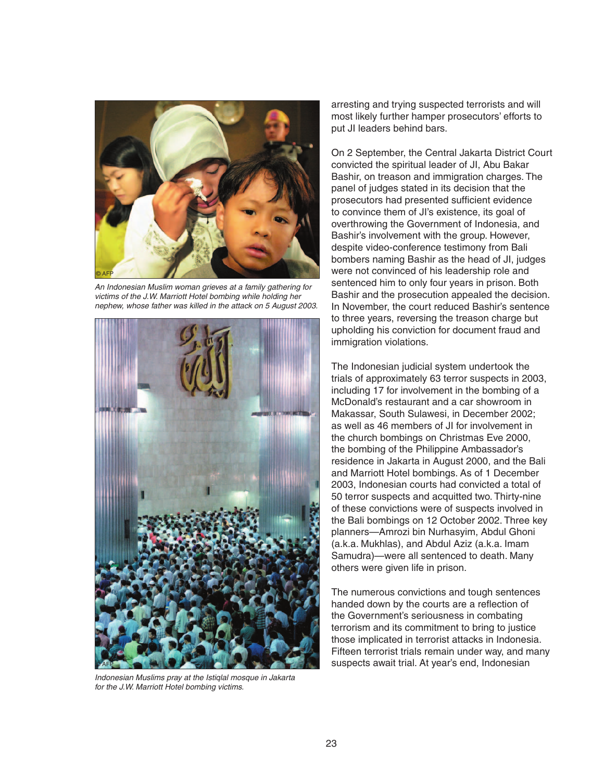

An Indonesian Muslim woman grieves at a family gathering for victims of the J.W. Marriott Hotel bombing while holding her nephew, whose father was killed in the attack on 5 August 2003.



Indonesian Muslims pray at the Istiqlal mosque in Jakarta for the J.W. Marriott Hotel bombing victims.

arresting and trying suspected terrorists and will most likely further hamper prosecutors' efforts to put JI leaders behind bars.

On 2 September, the Central Jakarta District Court convicted the spiritual leader of JI, Abu Bakar Bashir, on treason and immigration charges. The panel of judges stated in its decision that the prosecutors had presented sufficient evidence to convince them of JI's existence, its goal of overthrowing the Government of Indonesia, and Bashir's involvement with the group. However, despite video-conference testimony from Bali bombers naming Bashir as the head of JI, judges were not convinced of his leadership role and sentenced him to only four years in prison. Both Bashir and the prosecution appealed the decision. In November, the court reduced Bashir's sentence to three years, reversing the treason charge but upholding his conviction for document fraud and immigration violations.

The Indonesian judicial system undertook the trials of approximately 63 terror suspects in 2003, including 17 for involvement in the bombing of a McDonald's restaurant and a car showroom in Makassar, South Sulawesi, in December 2002; as well as 46 members of JI for involvement in the church bombings on Christmas Eve 2000, the bombing of the Philippine Ambassador's residence in Jakarta in August 2000, and the Bali and Marriott Hotel bombings. As of 1 December 2003, Indonesian courts had convicted a total of 50 terror suspects and acquitted two. Thirty-nine of these convictions were of suspects involved in the Bali bombings on 12 October 2002. Three key planners—Amrozi bin Nurhasyim, Abdul Ghoni (a.k.a. Mukhlas), and Abdul Aziz (a.k.a. Imam Samudra)—were all sentenced to death. Many others were given life in prison.

The numerous convictions and tough sentences handed down by the courts are a reflection of the Government's seriousness in combating terrorism and its commitment to bring to justice those implicated in terrorist attacks in Indonesia. Fifteen terrorist trials remain under way, and many suspects await trial. At year's end, Indonesian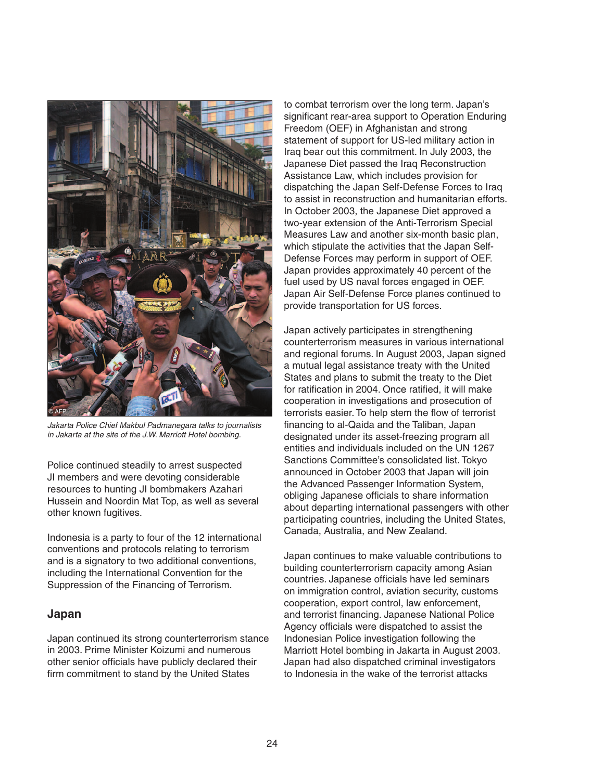

Jakarta Police Chief Makbul Padmanegara talks to journalists in Jakarta at the site of the J.W. Marriott Hotel bombing.

Police continued steadily to arrest suspected JI members and were devoting considerable resources to hunting JI bombmakers Azahari Hussein and Noordin Mat Top, as well as several other known fugitives.

Indonesia is a party to four of the 12 international conventions and protocols relating to terrorism and is a signatory to two additional conventions, including the International Convention for the Suppression of the Financing of Terrorism.

## **Japan**

Japan continued its strong counterterrorism stance in 2003. Prime Minister Koizumi and numerous other senior officials have publicly declared their firm commitment to stand by the United States

to combat terrorism over the long term. Japan's significant rear-area support to Operation Enduring Freedom (OEF) in Afghanistan and strong statement of support for US-led military action in Iraq bear out this commitment. In July 2003, the Japanese Diet passed the Iraq Reconstruction Assistance Law, which includes provision for dispatching the Japan Self-Defense Forces to Iraq to assist in reconstruction and humanitarian efforts. In October 2003, the Japanese Diet approved a two-year extension of the Anti-Terrorism Special Measures Law and another six-month basic plan, which stipulate the activities that the Japan Self-Defense Forces may perform in support of OEF. Japan provides approximately 40 percent of the fuel used by US naval forces engaged in OEF. Japan Air Self-Defense Force planes continued to provide transportation for US forces.

Japan actively participates in strengthening counterterrorism measures in various international and regional forums. In August 2003, Japan signed a mutual legal assistance treaty with the United States and plans to submit the treaty to the Diet for ratification in 2004. Once ratified, it will make cooperation in investigations and prosecution of terrorists easier. To help stem the flow of terrorist financing to al-Qaida and the Taliban, Japan designated under its asset-freezing program all entities and individuals included on the UN 1267 Sanctions Committee's consolidated list. Tokyo announced in October 2003 that Japan will join the Advanced Passenger Information System, obliging Japanese officials to share information about departing international passengers with other participating countries, including the United States, Canada, Australia, and New Zealand.

Japan continues to make valuable contributions to building counterterrorism capacity among Asian countries. Japanese officials have led seminars on immigration control, aviation security, customs cooperation, export control, law enforcement, and terrorist financing. Japanese National Police Agency officials were dispatched to assist the Indonesian Police investigation following the Marriott Hotel bombing in Jakarta in August 2003. Japan had also dispatched criminal investigators to Indonesia in the wake of the terrorist attacks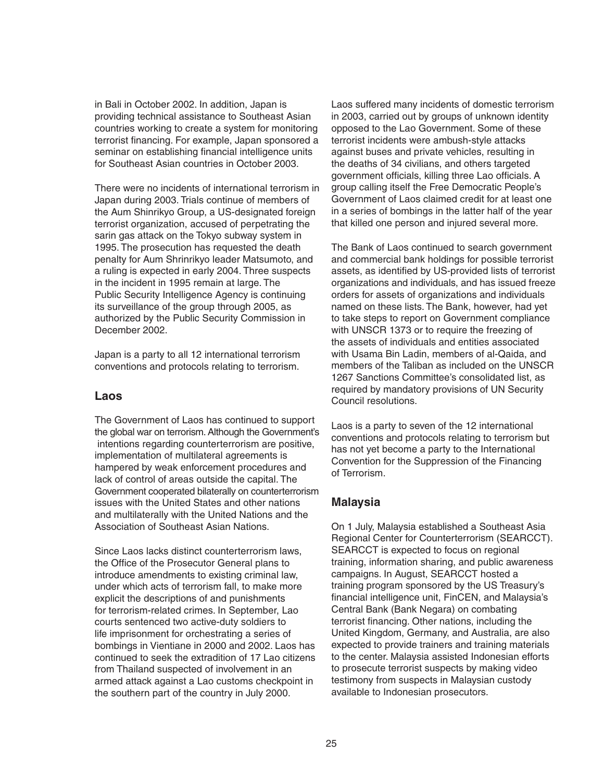in Bali in October 2002. In addition, Japan is providing technical assistance to Southeast Asian countries working to create a system for monitoring terrorist financing. For example, Japan sponsored a seminar on establishing financial intelligence units for Southeast Asian countries in October 2003.

There were no incidents of international terrorism in Japan during 2003. Trials continue of members of the Aum Shinrikyo Group, a US-designated foreign terrorist organization, accused of perpetrating the sarin gas attack on the Tokyo subway system in 1995. The prosecution has requested the death penalty for Aum Shrinrikyo leader Matsumoto, and a ruling is expected in early 2004. Three suspects in the incident in 1995 remain at large. The Public Security Intelligence Agency is continuing its surveillance of the group through 2005, as authorized by the Public Security Commission in December 2002.

Japan is a party to all 12 international terrorism conventions and protocols relating to terrorism.

#### **Laos**

The Government of Laos has continued to support the global war on terrorism. Although the Government's intentions regarding counterterrorism are positive, implementation of multilateral agreements is hampered by weak enforcement procedures and lack of control of areas outside the capital. The Government cooperated bilaterally on counterterrorism issues with the United States and other nations and multilaterally with the United Nations and the Association of Southeast Asian Nations.

Since Laos lacks distinct counterterrorism laws, the Office of the Prosecutor General plans to introduce amendments to existing criminal law, under which acts of terrorism fall, to make more explicit the descriptions of and punishments for terrorism-related crimes. In September, Lao courts sentenced two active-duty soldiers to life imprisonment for orchestrating a series of bombings in Vientiane in 2000 and 2002. Laos has continued to seek the extradition of 17 Lao citizens from Thailand suspected of involvement in an armed attack against a Lao customs checkpoint in the southern part of the country in July 2000.

Laos suffered many incidents of domestic terrorism in 2003, carried out by groups of unknown identity opposed to the Lao Government. Some of these terrorist incidents were ambush-style attacks against buses and private vehicles, resulting in the deaths of 34 civilians, and others targeted government officials, killing three Lao officials. A group calling itself the Free Democratic People's Government of Laos claimed credit for at least one in a series of bombings in the latter half of the year that killed one person and injured several more.

The Bank of Laos continued to search government and commercial bank holdings for possible terrorist assets, as identified by US-provided lists of terrorist organizations and individuals, and has issued freeze orders for assets of organizations and individuals named on these lists. The Bank, however, had yet to take steps to report on Government compliance with UNSCR 1373 or to require the freezing of the assets of individuals and entities associated with Usama Bin Ladin, members of al-Qaida, and members of the Taliban as included on the UNSCR 1267 Sanctions Committee's consolidated list, as required by mandatory provisions of UN Security Council resolutions.

Laos is a party to seven of the 12 international conventions and protocols relating to terrorism but has not yet become a party to the International Convention for the Suppression of the Financing of Terrorism.

## **Malaysia**

On 1 July, Malaysia established a Southeast Asia Regional Center for Counterterrorism (SEARCCT). SEARCCT is expected to focus on regional training, information sharing, and public awareness campaigns. In August, SEARCCT hosted a training program sponsored by the US Treasury's financial intelligence unit, FinCEN, and Malaysia's Central Bank (Bank Negara) on combating terrorist financing. Other nations, including the United Kingdom, Germany, and Australia, are also expected to provide trainers and training materials to the center. Malaysia assisted Indonesian efforts to prosecute terrorist suspects by making video testimony from suspects in Malaysian custody available to Indonesian prosecutors.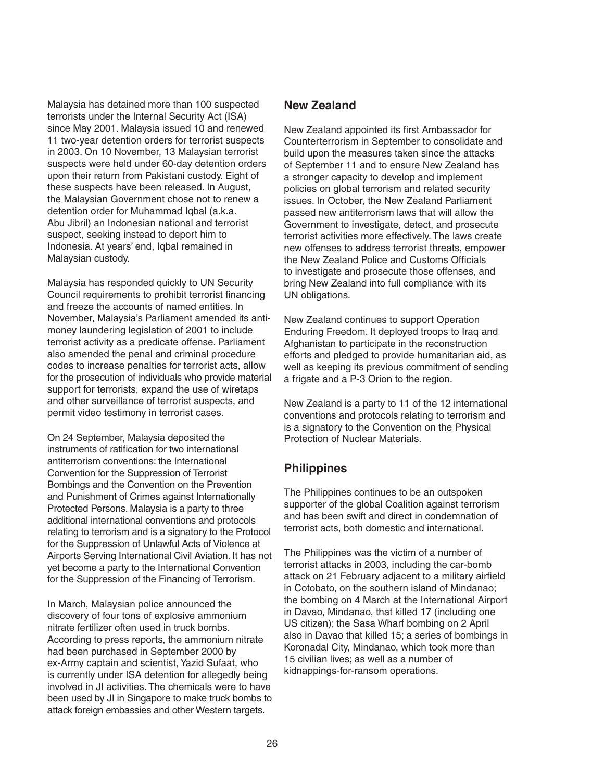Malaysia has detained more than 100 suspected terrorists under the Internal Security Act (ISA) since May 2001. Malaysia issued 10 and renewed 11 two-year detention orders for terrorist suspects in 2003. On 10 November, 13 Malaysian terrorist suspects were held under 60-day detention orders upon their return from Pakistani custody. Eight of these suspects have been released. In August, the Malaysian Government chose not to renew a detention order for Muhammad Iqbal (a.k.a. Abu Jibril) an Indonesian national and terrorist suspect, seeking instead to deport him to Indonesia. At years' end, Iqbal remained in Malaysian custody.

Malaysia has responded quickly to UN Security Council requirements to prohibit terrorist financing and freeze the accounts of named entities. In November, Malaysia's Parliament amended its antimoney laundering legislation of 2001 to include terrorist activity as a predicate offense. Parliament also amended the penal and criminal procedure codes to increase penalties for terrorist acts, allow for the prosecution of individuals who provide material support for terrorists, expand the use of wiretaps and other surveillance of terrorist suspects, and permit video testimony in terrorist cases.

On 24 September, Malaysia deposited the instruments of ratification for two international antiterrorism conventions: the International Convention for the Suppression of Terrorist Bombings and the Convention on the Prevention and Punishment of Crimes against Internationally Protected Persons. Malaysia is a party to three additional international conventions and protocols relating to terrorism and is a signatory to the Protocol for the Suppression of Unlawful Acts of Violence at Airports Serving International Civil Aviation. It has not yet become a party to the International Convention for the Suppression of the Financing of Terrorism.

In March, Malaysian police announced the discovery of four tons of explosive ammonium nitrate fertilizer often used in truck bombs. According to press reports, the ammonium nitrate had been purchased in September 2000 by ex-Army captain and scientist, Yazid Sufaat, who is currently under ISA detention for allegedly being involved in JI activities. The chemicals were to have been used by JI in Singapore to make truck bombs to attack foreign embassies and other Western targets.

### **New Zealand**

New Zealand appointed its first Ambassador for Counterterrorism in September to consolidate and build upon the measures taken since the attacks of September 11 and to ensure New Zealand has a stronger capacity to develop and implement policies on global terrorism and related security issues. In October, the New Zealand Parliament passed new antiterrorism laws that will allow the Government to investigate, detect, and prosecute terrorist activities more effectively. The laws create new offenses to address terrorist threats, empower the New Zealand Police and Customs Officials to investigate and prosecute those offenses, and bring New Zealand into full compliance with its UN obligations.

New Zealand continues to support Operation Enduring Freedom. It deployed troops to Iraq and Afghanistan to participate in the reconstruction efforts and pledged to provide humanitarian aid, as well as keeping its previous commitment of sending a frigate and a P-3 Orion to the region.

New Zealand is a party to 11 of the 12 international conventions and protocols relating to terrorism and is a signatory to the Convention on the Physical Protection of Nuclear Materials.

#### **Philippines**

The Philippines continues to be an outspoken supporter of the global Coalition against terrorism and has been swift and direct in condemnation of terrorist acts, both domestic and international.

The Philippines was the victim of a number of terrorist attacks in 2003, including the car-bomb attack on 21 February adjacent to a military airfield in Cotobato, on the southern island of Mindanao; the bombing on 4 March at the International Airport in Davao, Mindanao, that killed 17 (including one US citizen); the Sasa Wharf bombing on 2 April also in Davao that killed 15; a series of bombings in Koronadal City, Mindanao, which took more than 15 civilian lives; as well as a number of kidnappings-for-ransom operations.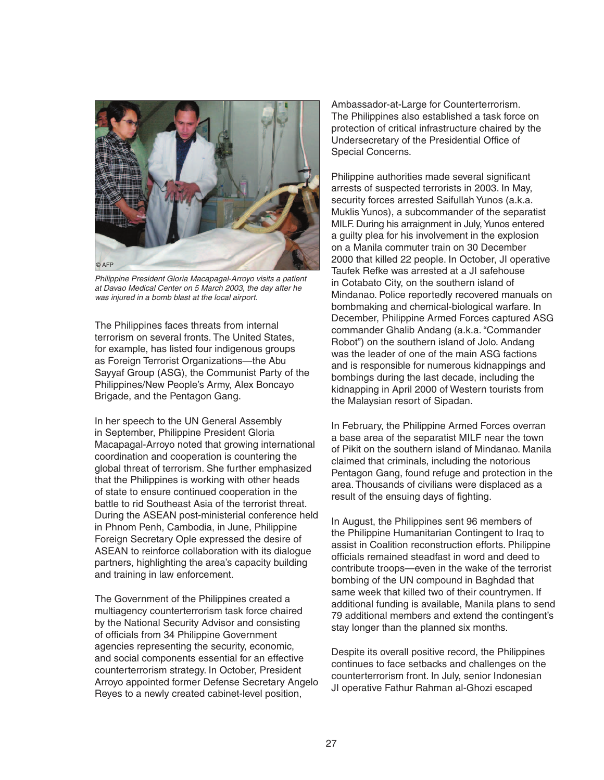

Philippine President Gloria Macapagal-Arroyo visits a patient at Davao Medical Center on 5 March 2003, the day after he was injured in a bomb blast at the local airport.

The Philippines faces threats from internal terrorism on several fronts. The United States, for example, has listed four indigenous groups as Foreign Terrorist Organizations—the Abu Sayyaf Group (ASG), the Communist Party of the Philippines/New People's Army, Alex Boncayo Brigade, and the Pentagon Gang.

In her speech to the UN General Assembly in September, Philippine President Gloria Macapagal-Arroyo noted that growing international coordination and cooperation is countering the global threat of terrorism. She further emphasized that the Philippines is working with other heads of state to ensure continued cooperation in the battle to rid Southeast Asia of the terrorist threat. During the ASEAN post-ministerial conference held in Phnom Penh, Cambodia, in June, Philippine Foreign Secretary Ople expressed the desire of ASEAN to reinforce collaboration with its dialogue partners, highlighting the area's capacity building and training in law enforcement.

The Government of the Philippines created a multiagency counterterrorism task force chaired by the National Security Advisor and consisting of officials from 34 Philippine Government agencies representing the security, economic, and social components essential for an effective counterterrorism strategy. In October, President Arroyo appointed former Defense Secretary Angelo Reyes to a newly created cabinet-level position,

Ambassador-at-Large for Counterterrorism. The Philippines also established a task force on protection of critical infrastructure chaired by the Undersecretary of the Presidential Office of Special Concerns.

Philippine authorities made several significant arrests of suspected terrorists in 2003. In May, security forces arrested Saifullah Yunos (a.k.a. Muklis Yunos), a subcommander of the separatist MILF. During his arraignment in July, Yunos entered a guilty plea for his involvement in the explosion on a Manila commuter train on 30 December 2000 that killed 22 people. In October, JI operative Taufek Refke was arrested at a JI safehouse in Cotabato City, on the southern island of Mindanao. Police reportedly recovered manuals on bombmaking and chemical-biological warfare. In December, Philippine Armed Forces captured ASG commander Ghalib Andang (a.k.a. "Commander Robot") on the southern island of Jolo. Andang was the leader of one of the main ASG factions and is responsible for numerous kidnappings and bombings during the last decade, including the kidnapping in April 2000 of Western tourists from the Malaysian resort of Sipadan.

In February, the Philippine Armed Forces overran a base area of the separatist MILF near the town of Pikit on the southern island of Mindanao. Manila claimed that criminals, including the notorious Pentagon Gang, found refuge and protection in the area. Thousands of civilians were displaced as a result of the ensuing days of fighting.

In August, the Philippines sent 96 members of the Philippine Humanitarian Contingent to Iraq to assist in Coalition reconstruction efforts. Philippine officials remained steadfast in word and deed to contribute troops—even in the wake of the terrorist bombing of the UN compound in Baghdad that same week that killed two of their countrymen. If additional funding is available, Manila plans to send 79 additional members and extend the contingent's stay longer than the planned six months.

Despite its overall positive record, the Philippines continues to face setbacks and challenges on the counterterrorism front. In July, senior Indonesian JI operative Fathur Rahman al-Ghozi escaped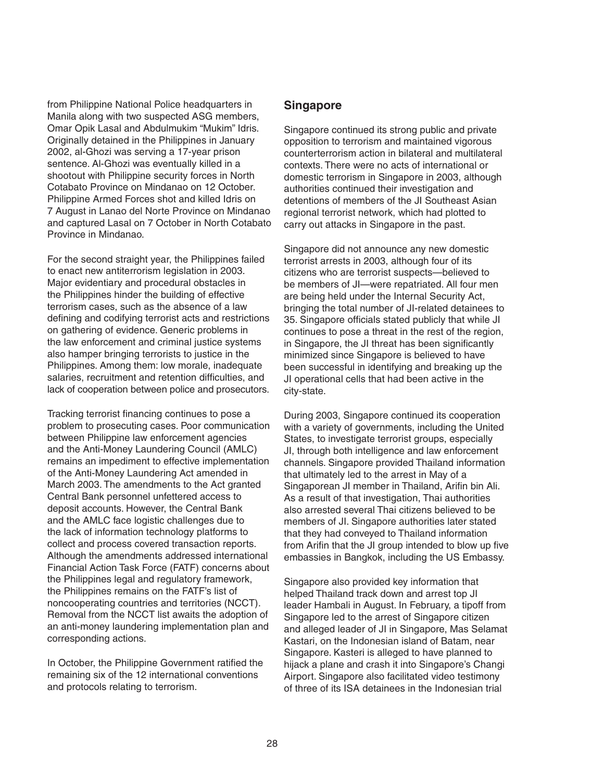from Philippine National Police headquarters in Manila along with two suspected ASG members, Omar Opik Lasal and Abdulmukim "Mukim" Idris. Originally detained in the Philippines in January 2002, al-Ghozi was serving a 17-year prison sentence. Al-Ghozi was eventually killed in a shootout with Philippine security forces in North Cotabato Province on Mindanao on 12 October. Philippine Armed Forces shot and killed Idris on 7 August in Lanao del Norte Province on Mindanao and captured Lasal on 7 October in North Cotabato Province in Mindanao.

For the second straight year, the Philippines failed to enact new antiterrorism legislation in 2003. Major evidentiary and procedural obstacles in the Philippines hinder the building of effective terrorism cases, such as the absence of a law defining and codifying terrorist acts and restrictions on gathering of evidence. Generic problems in the law enforcement and criminal justice systems also hamper bringing terrorists to justice in the Philippines. Among them: low morale, inadequate salaries, recruitment and retention difficulties, and lack of cooperation between police and prosecutors.

Tracking terrorist financing continues to pose a problem to prosecuting cases. Poor communication between Philippine law enforcement agencies and the Anti-Money Laundering Council (AMLC) remains an impediment to effective implementation of the Anti-Money Laundering Act amended in March 2003. The amendments to the Act granted Central Bank personnel unfettered access to deposit accounts. However, the Central Bank and the AMLC face logistic challenges due to the lack of information technology platforms to collect and process covered transaction reports. Although the amendments addressed international Financial Action Task Force (FATF) concerns about the Philippines legal and regulatory framework, the Philippines remains on the FATF's list of noncooperating countries and territories (NCCT). Removal from the NCCT list awaits the adoption of an anti-money laundering implementation plan and corresponding actions.

In October, the Philippine Government ratified the remaining six of the 12 international conventions and protocols relating to terrorism.

### **Singapore**

Singapore continued its strong public and private opposition to terrorism and maintained vigorous counterterrorism action in bilateral and multilateral contexts. There were no acts of international or domestic terrorism in Singapore in 2003, although authorities continued their investigation and detentions of members of the JI Southeast Asian regional terrorist network, which had plotted to carry out attacks in Singapore in the past.

Singapore did not announce any new domestic terrorist arrests in 2003, although four of its citizens who are terrorist suspects—believed to be members of JI—were repatriated. All four men are being held under the Internal Security Act, bringing the total number of JI-related detainees to 35. Singapore officials stated publicly that while JI continues to pose a threat in the rest of the region, in Singapore, the JI threat has been significantly minimized since Singapore is believed to have been successful in identifying and breaking up the JI operational cells that had been active in the city-state.

During 2003, Singapore continued its cooperation with a variety of governments, including the United States, to investigate terrorist groups, especially JI, through both intelligence and law enforcement channels. Singapore provided Thailand information that ultimately led to the arrest in May of a Singaporean JI member in Thailand, Arifin bin Ali. As a result of that investigation, Thai authorities also arrested several Thai citizens believed to be members of JI. Singapore authorities later stated that they had conveyed to Thailand information from Arifin that the JI group intended to blow up five embassies in Bangkok, including the US Embassy.

Singapore also provided key information that helped Thailand track down and arrest top JI leader Hambali in August. In February, a tipoff from Singapore led to the arrest of Singapore citizen and alleged leader of JI in Singapore, Mas Selamat Kastari, on the Indonesian island of Batam, near Singapore. Kasteri is alleged to have planned to hijack a plane and crash it into Singapore's Changi Airport. Singapore also facilitated video testimony of three of its ISA detainees in the Indonesian trial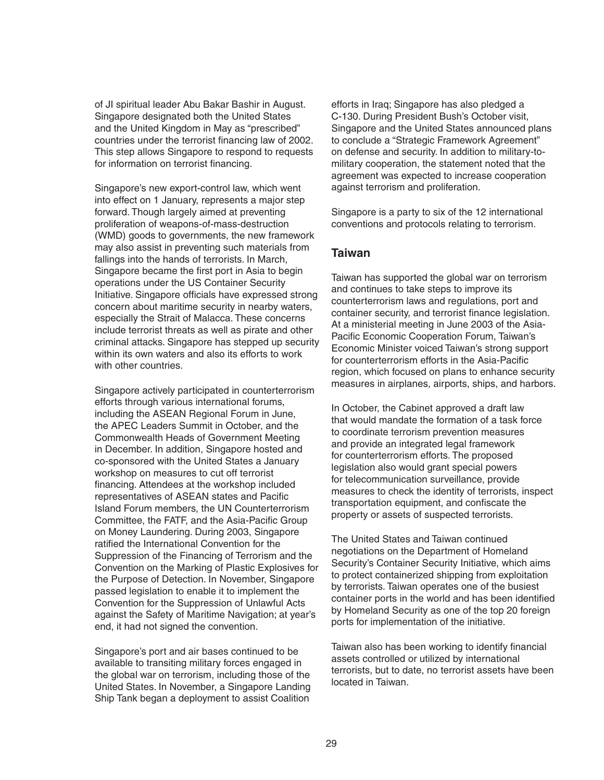of JI spiritual leader Abu Bakar Bashir in August. Singapore designated both the United States and the United Kingdom in May as "prescribed" countries under the terrorist financing law of 2002. This step allows Singapore to respond to requests for information on terrorist financing.

Singapore's new export-control law, which went into effect on 1 January, represents a major step forward. Though largely aimed at preventing proliferation of weapons-of-mass-destruction (WMD) goods to governments, the new framework may also assist in preventing such materials from fallings into the hands of terrorists. In March, Singapore became the first port in Asia to begin operations under the US Container Security Initiative. Singapore officials have expressed strong concern about maritime security in nearby waters, especially the Strait of Malacca. These concerns include terrorist threats as well as pirate and other criminal attacks. Singapore has stepped up security within its own waters and also its efforts to work with other countries.

Singapore actively participated in counterterrorism efforts through various international forums, including the ASEAN Regional Forum in June, the APEC Leaders Summit in October, and the Commonwealth Heads of Government Meeting in December. In addition, Singapore hosted and co-sponsored with the United States a January workshop on measures to cut off terrorist financing. Attendees at the workshop included representatives of ASEAN states and Pacific Island Forum members, the UN Counterterrorism Committee, the FATF, and the Asia-Pacific Group on Money Laundering. During 2003, Singapore ratified the International Convention for the Suppression of the Financing of Terrorism and the Convention on the Marking of Plastic Explosives for the Purpose of Detection. In November, Singapore passed legislation to enable it to implement the Convention for the Suppression of Unlawful Acts against the Safety of Maritime Navigation; at year's end, it had not signed the convention.

Singapore's port and air bases continued to be available to transiting military forces engaged in the global war on terrorism, including those of the United States. In November, a Singapore Landing Ship Tank began a deployment to assist Coalition

efforts in Iraq; Singapore has also pledged a C-130. During President Bush's October visit, Singapore and the United States announced plans to conclude a "Strategic Framework Agreement" on defense and security. In addition to military-tomilitary cooperation, the statement noted that the agreement was expected to increase cooperation against terrorism and proliferation.

Singapore is a party to six of the 12 international conventions and protocols relating to terrorism.

## **Taiwan**

Taiwan has supported the global war on terrorism and continues to take steps to improve its counterterrorism laws and regulations, port and container security, and terrorist finance legislation. At a ministerial meeting in June 2003 of the Asia-Pacific Economic Cooperation Forum, Taiwan's Economic Minister voiced Taiwan's strong support for counterterrorism efforts in the Asia-Pacific region, which focused on plans to enhance security measures in airplanes, airports, ships, and harbors.

In October, the Cabinet approved a draft law that would mandate the formation of a task force to coordinate terrorism prevention measures and provide an integrated legal framework for counterterrorism efforts. The proposed legislation also would grant special powers for telecommunication surveillance, provide measures to check the identity of terrorists, inspect transportation equipment, and confiscate the property or assets of suspected terrorists.

The United States and Taiwan continued negotiations on the Department of Homeland Security's Container Security Initiative, which aims to protect containerized shipping from exploitation by terrorists. Taiwan operates one of the busiest container ports in the world and has been identified by Homeland Security as one of the top 20 foreign ports for implementation of the initiative.

Taiwan also has been working to identify financial assets controlled or utilized by international terrorists, but to date, no terrorist assets have been located in Taiwan.